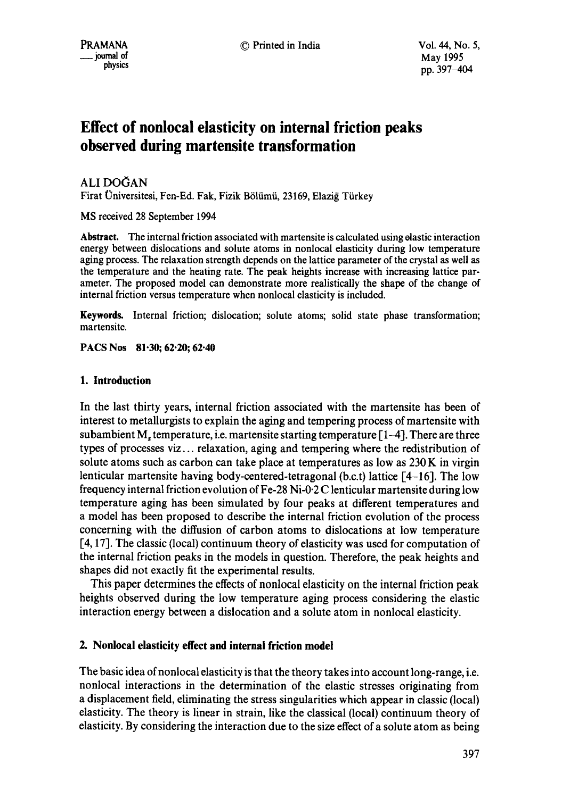# **Effect of nonlocal elasticity on internal friction peaks observed during martensite transformation**

**ALI DOĞAN** 

Firat Üniversitesi, Fen-Ed. Fak, Fizik Bölümü, 23169, Elaziğ Türkey

MS received 28 September 1994

**Abstract.** The internal friction associated with martensite is calculated using elastic interaction energy between dislocations and solute atoms in nonlocal elasticity during low temperature aging process. The relaxation strength depends on the lattice parameter of the crystal as well as the temperature and the heating rate. The peak heights increase with increasing lattice parameter. The proposed model can demonstrate more realistically the shape of the change of internal friction versus temperature when nonlocal elasticity is included.

**Keywords.** Internal friction; dislocation; solute atoms; solid state phase transformation; martensite.

**PACS Nos 81.30; 62.20; 62.40** 

## **1. Introduction**

In the last thirty years, internal friction associated with the martensite has been of interest to metallurgists to explain the aging and tempering process of martensite with subambient M, temperature, i.e. martensite starting temperature  $\lceil 1-4 \rceil$ . There are three types of processes viz.., relaxation, aging and tempering where the redistribution of solute atoms such as carbon can take place at temperatures as low as 230 K in virgin lenticular martensite having body-centered-tetragonal (b.c.t) lattice [4-16]. The low frequency internal friction evolution of Fe-28 Ni-0.2 C lenticular martensite during low temperature aging has been simulated by four peaks at different temperatures and a model has been proposed to describe the internal friction evolution of the process concerning with the diffusion of carbon atoms to dislocations at low temperature [4,17]. The classic (local) continuum theory of elasticity was used for computation of the internal friction peaks in the models in question. Therefore, the peak heights and shapes did not exactly fit the experimental results.

This paper determines the effects of nonlocal elasticity on the internal friction peak heights observed during the low temperature aging process considering the elastic interaction energy between a dislocation and a solute atom in nonlocal elasticity.

## **2. Nonlocal elasticity effect and internal friction model**

The basic idea of nonlocal elasticity is that the theory takes into account long-range, i.e. nonlocal interactions in the determination of the elastic stresses originating from a displacement field, eliminating the stress singularities which appear in classic (local) elasticity. The theory is linear in strain, like the classical (local) continuum theory of elasticity. By considering the interaction due to the size effect of a solute atom as being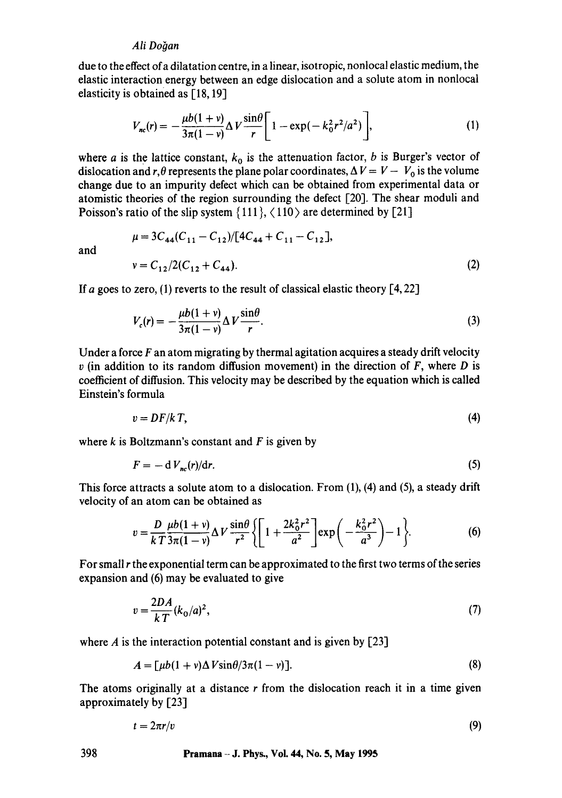## Ali Doğan

due to the effect of a dilatation centre, in a linear, isotropic, nonlocal elastic medium, the elastic interaction energy between an edge dislocation and a solute atom in nonlocal elasticity is obtained as [18, 19]

$$
V_{nc}(r) = -\frac{\mu b(1+v)}{3\pi(1-v)} \Delta V \frac{\sin\theta}{r} \left[ 1 - \exp(-k_0^2 r^2/a^2) \right],
$$
 (1)

where a is the lattice constant,  $k_0$  is the attenuation factor, b is Burger's vector of dislocation and r,  $\theta$  represents the plane polar coordinates,  $\Delta V = V - V_0$  is the volume change due to an impurity defect which can be obtained from experimental data or atomistic theories of the region surrounding the defect [20]. The shear moduli and Poisson's ratio of the slip system  $\{111\}$ ,  $\langle 110 \rangle$  are determined by [21]

$$
\mu = 3C_{44}(C_{11} - C_{12})/[4C_{44} + C_{11} - C_{12}],
$$
  
\n
$$
v = C_{12}/2(C_{12} + C_{44}).
$$
 (2)

If a goes to zero, (1) reverts to the result of classical elastic theory  $[4, 22]$ 

$$
V_c(r) = -\frac{\mu b(1+v)}{3\pi(1-v)} \Delta V \frac{\sin\theta}{r}.
$$
 (3)

Under a force  $F$  an atom migrating by thermal agitation acquires a steady drift velocity  $v$  (in addition to its random diffusion movement) in the direction of  $F$ , where  $D$  is coefficient of diffusion. This velocity may be described by the equation which is called Einstein's formula

$$
v = DF/kT, \tag{4}
$$

where  $k$  is Boltzmann's constant and  $F$  is given by

$$
F = -dV_{nc}(r)/dr.
$$
 (5)

This force attracts a solute atom to a dislocation. From (1), (4) and (5), a steady drift velocity of an atom can be obtained as

$$
v = \frac{D}{kT} \frac{\mu b(1+v)}{3\pi(1-v)} \Delta V \frac{\sin\theta}{r^2} \left\{ \left[ 1 + \frac{2k_0^2 r^2}{a^2} \right] \exp\left( -\frac{k_0^2 r^2}{a^3} \right) - 1 \right\}.
$$
 (6)

For small r the exponential term can be approximated to the first two terms of the series expansion and (6) may be evaluated to give

$$
v = \frac{2DA}{kT}(k_0/a)^2,\tag{7}
$$

where  $\vec{A}$  is the interaction potential constant and is given by [23]

$$
A = \left[\mu b(1 + v)\Delta V \sin\theta/3\pi(1 - v)\right].\tag{8}
$$

The atoms originally at a distance  $r$  from the dislocation reach it in a time given approximately by [23]

$$
t = 2\pi r/v \tag{9}
$$

and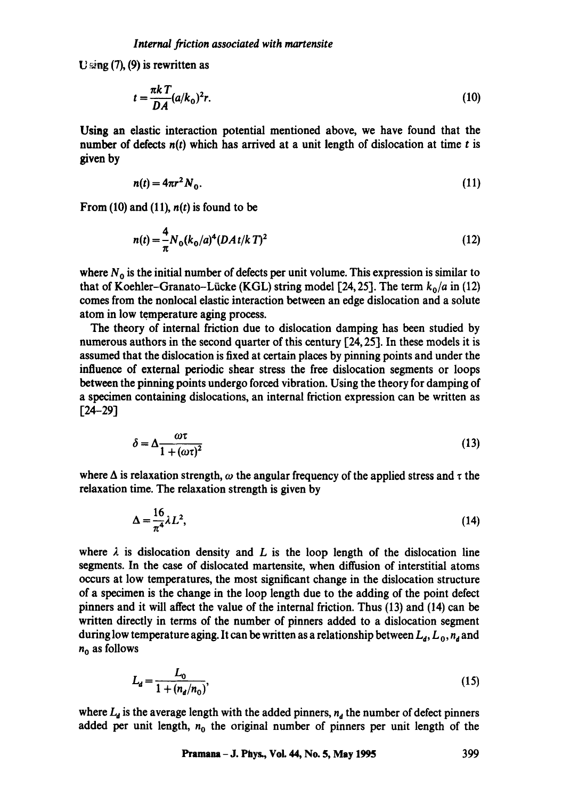$U \sin(\frac{\pi}{6})$ , (9) is rewritten as

$$
t = \frac{\pi k}{DA} (a/k_0)^2 r.
$$
 (10)

Using an elastic interaction potential mentioned above, we have found that the number of defects  $n(t)$  which has arrived at a unit length of dislocation at time t is given by

$$
n(t) = 4\pi r^2 N_0. \tag{11}
$$

From (10) and (11),  $n(t)$  is found to be

$$
n(t) = \frac{4}{\pi} N_0 (k_0/a)^4 (DA t/k T)^2
$$
 (12)

where  $N_0$  is the initial number of defects per unit volume. This expression is similar to that of Koehler-Granato-Lücke (KGL) string model [24, 25]. The term  $k_0/a$  in (12) comes from the nonlocal elastic interaction between an edge dislocation and a solute atom in low temperature aging process.

The theory of internal friction due to dislocation damping has been studied by numerous authors in the second quarter of this century [24, 25]. In these models it is assumed that the dislocation is fixed at certain places by pinning points and under the influence of external periodic shear stress the free dislocation segments or loops between the pinning points undergo forced vibration. Using the theory for damping of a specimen containing dislocations, an internal friction expression can be written as [24-29]

$$
\delta = \Delta \frac{\omega \tau}{1 + (\omega \tau)^2} \tag{13}
$$

where  $\Delta$  is relaxation strength,  $\omega$  the angular frequency of the applied stress and  $\tau$  the relaxation time. The relaxation strength is given by

$$
\Delta = \frac{16}{\pi^4} \lambda L^2,\tag{14}
$$

where  $\lambda$  is dislocation density and L is the loop length of the dislocation line segments. In the case of dislocated martensite, when diffusion of interstitial atoms occurs at low temperatures, the most significant change in the dislocation structure of a specimen is the change in the loop length due to the adding of the point defect pinners and it will affect the value of the internal friction. Thus (13) and (14) can be written directly in terms of the number of pinners added to a dislocation segment during low temperature aging. It can be written as a relationship between  $L_a, L_a, n_a$  and  $n_0$  as follows

$$
L_d = \frac{L_0}{1 + (n_d/n_0)},\tag{15}
$$

where  $L_d$  is the average length with the added pinners,  $n_d$  the number of defect pinners added per unit length,  $n_0$  the original number of pinners per unit length of the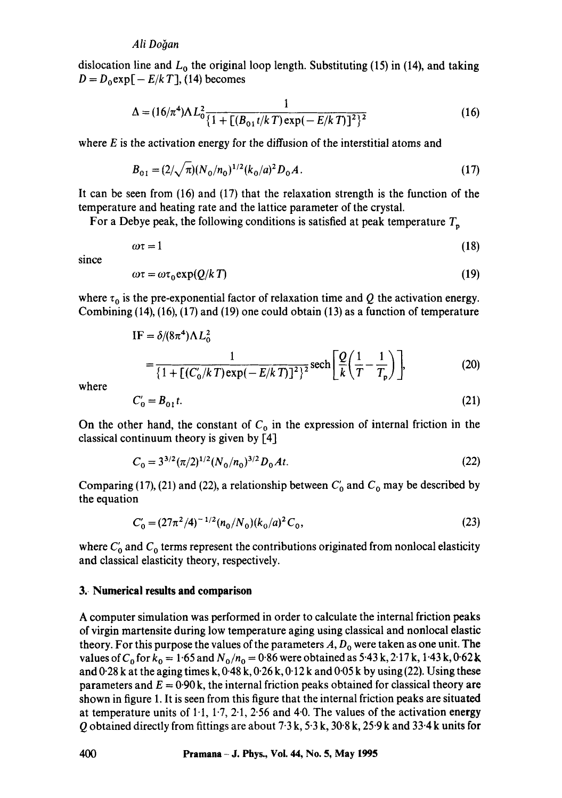### Ali Doğan

dislocation line and  $L_0$  the original loop length. Substituting (15) in (14), and taking  $D = D_0 \exp[-E/k]$ , (14) becomes

$$
\Delta = (16/\pi^4)\Lambda L_0^2 \frac{1}{\{1 + [(B_{01}t/kT) \exp(-E/kT)]^2\}^2}
$$
(16)

where  $E$  is the activation energy for the diffusion of the interstitial atoms and

$$
B_{01} = (2/\sqrt{\pi})(N_0/n_0)^{1/2}(k_0/a)^2 D_0 A. \tag{17}
$$

It can be seen from (16) and (17) that the relaxation strength is the function of the temperature and heating rate and the lattice parameter of the crystal.

For a Debye peak, the following conditions is satisfied at peak temperature  $T_p$ 

$$
\omega \tau = 1 \tag{18}
$$

since

$$
\omega \tau = \omega \tau_0 \exp(Q/k \, T) \tag{19}
$$

where  $\tau_0$  is the pre-exponential factor of relaxation time and Q the activation energy. Combining  $(14)$ ,  $(16)$ ,  $(17)$  and  $(19)$  one could obtain  $(13)$  as a function of temperature

IF = 
$$
\delta/(8\pi^4)\Lambda L_0^2
$$
  
=  $\frac{1}{\{1 + [(C_0'/kT) \exp(-E/kT)]^2\}^2} \operatorname{sech}\left[\frac{Q}{k}\left(\frac{1}{T} - \frac{1}{T_p}\right)\right],$  (20)

where

$$
C'_0 = B_{01}t. \tag{21}
$$

On the other hand, the constant of  $C_0$  in the expression of internal friction in the classical continuum theory is given by [4]

$$
C_0 = 3^{3/2} (\pi/2)^{1/2} (N_0/n_0)^{3/2} D_0 At.
$$
 (22)

Comparing (17), (21) and (22), a relationship between  $C_0$  and  $C_0$  may be described by the equation

$$
C'_0 = (27\pi^2/4)^{-1/2} (n_0/N_0) (k_0/a)^2 C_0,
$$
\n(23)

where  $C_0$  and  $C_0$  terms represent the contributions originated from nonlocal elasticity and classical elasticity theory, respectively.

#### **3.. Numerical results and comparison**

A computer simulation was performed in order to calculate the internal friction peaks of virgin martensite during low temperature aging using classical and nonlocal elastic theory. For this purpose the values of the parameters  $A, D_0$  were taken as one unit. The values of  $C_0$  for  $k_0 = 1.65$  and  $N_0/n_0 = 0.86$  were obtained as 5.43 k, 2.17 k, 1.43 k, 0.62 k and  $0.28$  k at the aging times k,  $0.48$  k,  $0.26$  k,  $0.12$  k and  $0.05$  k by using (22). Using these parameters and  $E = 0.90$  k, the internal friction peaks obtained for classical theory are shown in figure 1. It is seen from this figure that the internal friction peaks are situated at temperature units of  $1.1$ ,  $1.7$ ,  $2.1$ ,  $2.56$  and  $4.0$ . The values of the activation energy Q obtained directly from fittings are about 7"3 k, 5"3 k, 30"8 k, 25.9 k and 33.4 k units for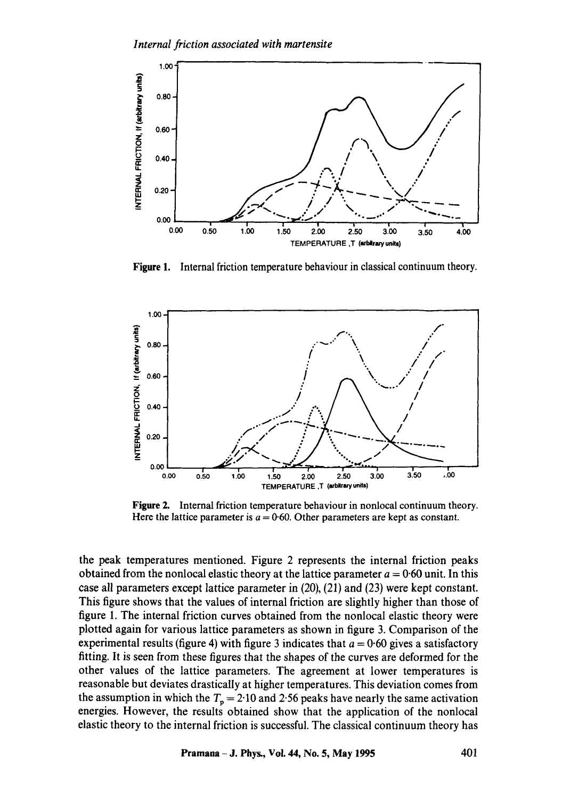

Figure 1. Internal friction temperature behaviour in classical continuum theory.



**Figure 2.**  Internal friction temperature behaviour in nonlocal continuum theory. Here the lattice parameter is  $a = 0.60$ . Other parameters are kept as constant.

the peak temperatures mentioned. Figure 2 represents the internal friction peaks obtained from the nonlocal elastic theory at the lattice parameter  $a = 0.60$  unit. In this case all parameters except lattice parameter in (20), (21) and (23) were kept constant. This figure shows that the values of internal friction are slightly higher than those of figure 1. The internal friction curves obtained from the nonlocal elastic theory were plotted again for various lattice parameters as shown in figure 3. Comparison of the experimental results (figure 4) with figure 3 indicates that  $a = 0.60$  gives a satisfactory fitting. It is seen from these figures that the shapes of the curves are deformed for the other values of the lattice parameters. The agreement at lower temperatures is reasonable but deviates drastically at higher temperatures. This deviation comes from the assumption in which the  $T_p = 2.10$  and 2.56 peaks have nearly the same activation energies. However, the results obtained show that the application of the nonlocal elastic theory to the internal friction is successful. The classical continuum theory has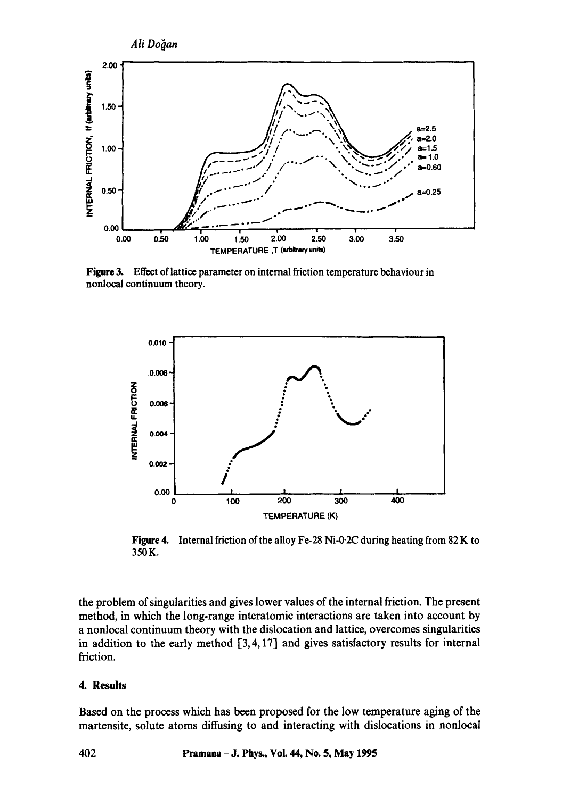

Figure 3. Effect of lattice parameter on internal friction temperature behaviour in nonlocal continuum theory.



**Figure 4.**  Internal friction of the alloy Fe-28 Ni-0.2C during heating from 82 K to 350K.

the problem of singularities and gives lower values of the internal friction. The present method, in which the long-range interatomic interactions are taken into account by a nonlocal continuum theory with the dislocation and lattice, overcomes singularities in addition to the early method  $\lceil 3, 4, 17 \rceil$  and gives satisfactory results for internal friction.

## **4. Results**

Based on the process which has been proposed for the low temperature aging of the martensite, solute atoms diffusing to and interacting with dislocations in nonlocal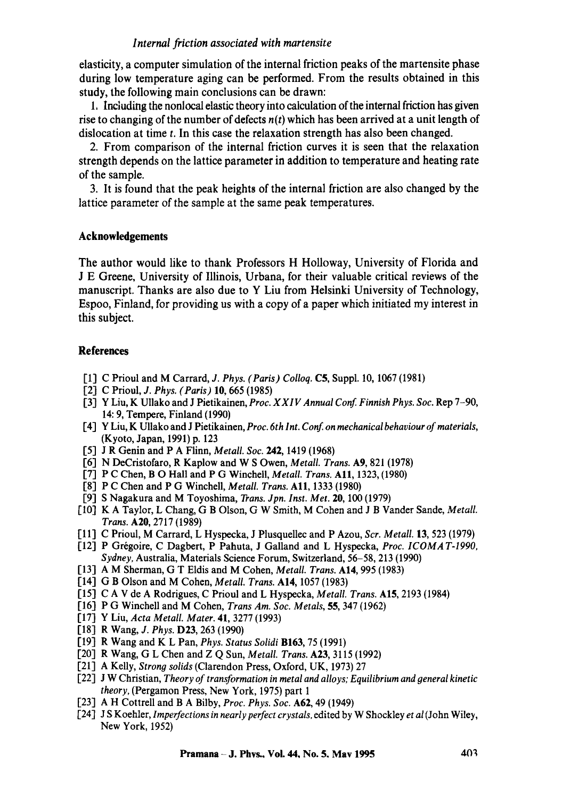## *Internal friction associated with martensite*

elasticity, a computer simulation of the internal friction peaks of the martensite phase during low temperature aging can be performed. From the results obtained in this study, the following main conclusions can be drawn:

l, Including the nonlocal elastic theory into calculation of the internal friction has given rise to changing of the number of defects *n(t)* which has been arrived at a unit length of dislocation at time  $t$ . In this case the relaxation strength has also been changed.

2. From comparison of the internal friction curves it is seen that the relaxation strength depends on the lattice parameter in addition to temperature and heating rate of the sample.

3. It is found that the peak heights of the internal friction are also changed by the lattice parameter of the sample at the same peak temperatures.

## **Acknowledgements**

The author would like to thank Professors H Holloway, University of Florida and J E Greene, University of Illinois, Urbana, for their valuable critical reviews of the manuscript. Thanks are also due to Y Liu from Helsinki University of Technology, Espoo, Finland, for providing us with a copy of a paper which initiated my interest in this subject.

### **References**

- [I] C Prioul and M Carrard, *J. Phys. (Paris) Colloq.* C5, Suppl. 10, 1067 (1981)
- [2] C Prioul, *J. Phys. (Parts)* 10, 665 (1985)
- [3] *Y Liu, K Ullako and J Pietikainen, Proc. X X I V Annual Conf Finnish Phys. Soc. Rep 7-90,*  14: 9, Tempere, Finland (1990)
- [4] *Y Liu, K Ullako and J Pietikainen, Proc. 6th lnt. Conf on mechanical behaviour of materials,*  (Kyoto, Japan, 1991) p. 123
- [5] J R Genin and P A Flinn, *Metall. Soc.* 242, 1419 (1968)
- [6] N DeCristofaro, R Kaplow and W S Owen, *Metall. Trans.* A9, 821 (1978)
- [7] P C Chen, B O Hall and P G Winchell, *Metall. Trans.* **A11**, 1323, (1980)
- [8] P C Chen and P G Winchell, *Metall. Trans.* A11, 1333 (1980)
- [9] S Nagakura and M Toyoshima, *Trans. Jpn. Inst. Met.* 20, 100 (1979)
- [10] K A Taylor, L Chang, G B Olson, G W Smith, M Cohen and J B Vander Sande, *Metall. Trans.* A20, 2717 (1989)
- [11] C Prioul, M Carrard, L Hyspecka, J Plusquellec and P Azou, *Scr. Metall.* 13, 523 (1979)
- [12] P Grégoire, C Dagbert, P Pahuta, J Galland and L Hyspecka, *Proc. ICOMAT-1990*, *Sydney,* Australia, Materials Science Forum, Switzerland, 56-58, 213 (1990)
- [13] A M Sherman, G T Eldis and M Cohen, *Metall. Trans.* A14, 995 (1983)
- [14] G B Olson and M Cohen, *Metall. Trans.* AI4, 1057 (1983)
- [15] C A V de A Rodrigues, C Prioul and L Hyspecka, *Metall. Trans.* A15, 2193 (1984)
- [16] P G Winchell and M Cohen, *Trans Am. Soc. Metals,* 55, 347 (1962)
- [17] Y Liu, *Acta Metall. Mater.* 41, 3277 (1993)
- [18] R Wang, *J. Phys.* D23, 263 (1990)
- [19] R Wang and K L Pan, *Phys. Status Solidi* B163, 75 (1991)
- [20] R Wang, G L Chen and Z Q Sun, *Metall. Trans.* A23, 3115 (1992)
- [21] A Kelly, *Strong solids* (Clarendon Press, Oxford, UK, 1973) 27
- [22] J W Christian, *Theory of transformation in metal and alloys; Equilibrium and general kinetic theory,* (Pergamon Press, New York, 1975) part 1
- [23] A H Cottrell and B A Bilby, *Proc. Phys. Soc.* A62, 49 (1949)
- [24] *J S Koehler, lmperfections in nearly perfect crystals, edited by W Shoekley et al (John Wiley,*  New York, 1952)